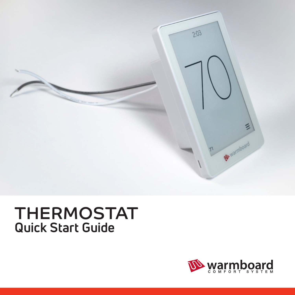

## THERMOSTAT **Quick Start Guide**

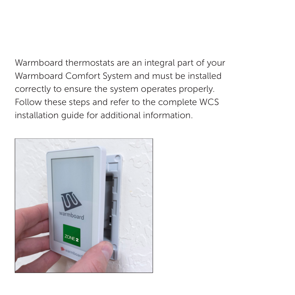Warmboard thermostats are an integral part of your Warmboard Comfort System and must be installed correctly to ensure the system operates properly. Follow these steps and refer to the complete WCS installation guide for additional information.

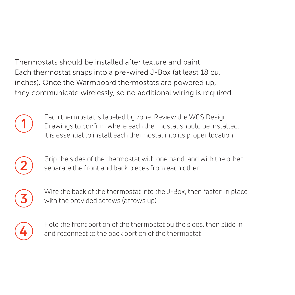Thermostats should be installed after texture and paint. Each thermostat snaps into a pre-wired J-Box (at least 18 cu. inches). Once the Warmboard thermostats are powered up, they communicate wirelessly, so no additional wiring is required.



Each thermostat is labeled by zone. Review the WCS Design Drawings to confirm where each thermostat should be installed. It is essential to install each thermostat into its proper location



Grip the sides of the thermostat with one hand, and with the other, separate the front and back pieces from each other



Wire the back of the thermostat into the J-Box, then fasten in place with the provided screws (arrows up)



Hold the front portion of the thermostat by the sides, then slide in and reconnect to the back portion of the thermostat